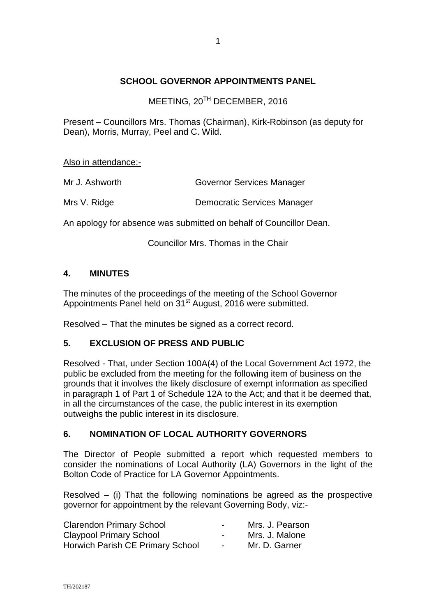## **SCHOOL GOVERNOR APPOINTMENTS PANEL**

MEETING, 20<sup>TH</sup> DECEMBER, 2016

Present – Councillors Mrs. Thomas (Chairman), Kirk-Robinson (as deputy for Dean), Morris, Murray, Peel and C. Wild.

Also in attendance:-

| Mr J. Ashworth | Governor Services Manager |
|----------------|---------------------------|
|                |                           |

Mrs V. Ridge **Democratic Services Manager** 

An apology for absence was submitted on behalf of Councillor Dean.

Councillor Mrs. Thomas in the Chair

## **4. MINUTES**

The minutes of the proceedings of the meeting of the School Governor Appointments Panel held on 31<sup>st</sup> August, 2016 were submitted.

Resolved – That the minutes be signed as a correct record.

## **5. EXCLUSION OF PRESS AND PUBLIC**

Resolved - That, under Section 100A(4) of the Local Government Act 1972, the public be excluded from the meeting for the following item of business on the grounds that it involves the likely disclosure of exempt information as specified in paragraph 1 of Part 1 of Schedule 12A to the Act; and that it be deemed that, in all the circumstances of the case, the public interest in its exemption outweighs the public interest in its disclosure.

## **6. NOMINATION OF LOCAL AUTHORITY GOVERNORS**

The Director of People submitted a report which requested members to consider the nominations of Local Authority (LA) Governors in the light of the Bolton Code of Practice for LA Governor Appointments.

Resolved – (i) That the following nominations be agreed as the prospective governor for appointment by the relevant Governing Body, viz:-

| <b>Clarendon Primary School</b>  | $\blacksquare$ | Mrs. J. Pearson |
|----------------------------------|----------------|-----------------|
| <b>Claypool Primary School</b>   | $\sim$         | Mrs. J. Malone  |
| Horwich Parish CE Primary School | $\sim$         | Mr. D. Garner   |